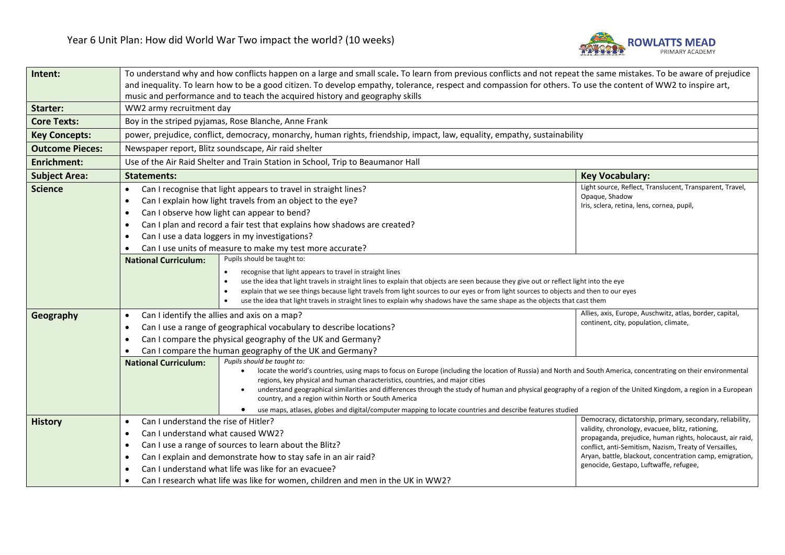

| Intent:                | To understand why and how conflicts happen on a large and small scale. To learn from previous conflicts and not repeat the same mistakes. To be aware of prejudice                                                                                                                           |                                                                                                                           |  |  |
|------------------------|----------------------------------------------------------------------------------------------------------------------------------------------------------------------------------------------------------------------------------------------------------------------------------------------|---------------------------------------------------------------------------------------------------------------------------|--|--|
|                        | and inequality. To learn how to be a good citizen. To develop empathy, tolerance, respect and compassion for others. To use the content of WW2 to inspire art,                                                                                                                               |                                                                                                                           |  |  |
|                        | music and performance and to teach the acquired history and geography skills                                                                                                                                                                                                                 |                                                                                                                           |  |  |
| Starter:               | WW2 army recruitment day                                                                                                                                                                                                                                                                     |                                                                                                                           |  |  |
| <b>Core Texts:</b>     | Boy in the striped pyjamas, Rose Blanche, Anne Frank                                                                                                                                                                                                                                         |                                                                                                                           |  |  |
| <b>Key Concepts:</b>   |                                                                                                                                                                                                                                                                                              | power, prejudice, conflict, democracy, monarchy, human rights, friendship, impact, law, equality, empathy, sustainability |  |  |
| <b>Outcome Pieces:</b> | Newspaper report, Blitz soundscape, Air raid shelter                                                                                                                                                                                                                                         |                                                                                                                           |  |  |
| <b>Enrichment:</b>     | Use of the Air Raid Shelter and Train Station in School, Trip to Beaumanor Hall                                                                                                                                                                                                              |                                                                                                                           |  |  |
| <b>Subject Area:</b>   | <b>Statements:</b>                                                                                                                                                                                                                                                                           | <b>Key Vocabulary:</b>                                                                                                    |  |  |
| <b>Science</b>         | Can I recognise that light appears to travel in straight lines?<br>$\bullet$                                                                                                                                                                                                                 | Light source, Reflect, Translucent, Transparent, Travel,                                                                  |  |  |
|                        | Can I explain how light travels from an object to the eye?<br>$\bullet$                                                                                                                                                                                                                      | Opaque, Shadow<br>Iris, sclera, retina, lens, cornea, pupil,                                                              |  |  |
|                        | Can I observe how light can appear to bend?<br>$\bullet$                                                                                                                                                                                                                                     |                                                                                                                           |  |  |
|                        | Can I plan and record a fair test that explains how shadows are created?<br>$\bullet$                                                                                                                                                                                                        |                                                                                                                           |  |  |
|                        | Can I use a data loggers in my investigations?<br>$\bullet$                                                                                                                                                                                                                                  |                                                                                                                           |  |  |
|                        | Can I use units of measure to make my test more accurate?                                                                                                                                                                                                                                    |                                                                                                                           |  |  |
|                        | Pupils should be taught to:<br><b>National Curriculum:</b>                                                                                                                                                                                                                                   |                                                                                                                           |  |  |
|                        | recognise that light appears to travel in straight lines<br>$\bullet$                                                                                                                                                                                                                        |                                                                                                                           |  |  |
|                        | use the idea that light travels in straight lines to explain that objects are seen because they give out or reflect light into the eye<br>$\bullet$<br>explain that we see things because light travels from light sources to our eyes or from light sources to objects and then to our eyes |                                                                                                                           |  |  |
|                        | use the idea that light travels in straight lines to explain why shadows have the same shape as the objects that cast them                                                                                                                                                                   |                                                                                                                           |  |  |
| Geography              | Can I identify the allies and axis on a map?<br>$\bullet$                                                                                                                                                                                                                                    | Allies, axis, Europe, Auschwitz, atlas, border, capital,                                                                  |  |  |
|                        | continent, city, population, climate,<br>Can I use a range of geographical vocabulary to describe locations?                                                                                                                                                                                 |                                                                                                                           |  |  |
|                        | Can I compare the physical geography of the UK and Germany?<br>$\bullet$                                                                                                                                                                                                                     |                                                                                                                           |  |  |
|                        | Can I compare the human geography of the UK and Germany?<br>$\bullet$                                                                                                                                                                                                                        |                                                                                                                           |  |  |
|                        | Pupils should be taught to:<br><b>National Curriculum:</b>                                                                                                                                                                                                                                   |                                                                                                                           |  |  |
|                        | locate the world's countries, using maps to focus on Europe (including the location of Russia) and North and South America, concentrating on their environmental<br>regions, key physical and human characteristics, countries, and major cities                                             |                                                                                                                           |  |  |
|                        | understand geographical similarities and differences through the study of human and physical geography of a region of the United Kingdom, a region in a European                                                                                                                             |                                                                                                                           |  |  |
|                        | country, and a region within North or South America                                                                                                                                                                                                                                          |                                                                                                                           |  |  |
|                        | use maps, atlases, globes and digital/computer mapping to locate countries and describe features studied<br>$\bullet$                                                                                                                                                                        |                                                                                                                           |  |  |
| <b>History</b>         | Can I understand the rise of Hitler?<br>$\bullet$                                                                                                                                                                                                                                            | Democracy, dictatorship, primary, secondary, reliability,<br>validity, chronology, evacuee, blitz, rationing,             |  |  |
|                        | Can I understand what caused WW2?<br>$\bullet$                                                                                                                                                                                                                                               | propaganda, prejudice, human rights, holocaust, air raid,                                                                 |  |  |
|                        | Can I use a range of sources to learn about the Blitz?<br>$\bullet$                                                                                                                                                                                                                          | conflict, anti-Semitism, Nazism, Treaty of Versailles,                                                                    |  |  |
|                        | Can I explain and demonstrate how to stay safe in an air raid?<br>$\bullet$                                                                                                                                                                                                                  | Aryan, battle, blackout, concentration camp, emigration,<br>genocide, Gestapo, Luftwaffe, refugee,                        |  |  |
|                        | Can I understand what life was like for an evacuee?<br>$\bullet$                                                                                                                                                                                                                             |                                                                                                                           |  |  |
|                        | Can I research what life was like for women, children and men in the UK in WW2?<br>$\bullet$                                                                                                                                                                                                 |                                                                                                                           |  |  |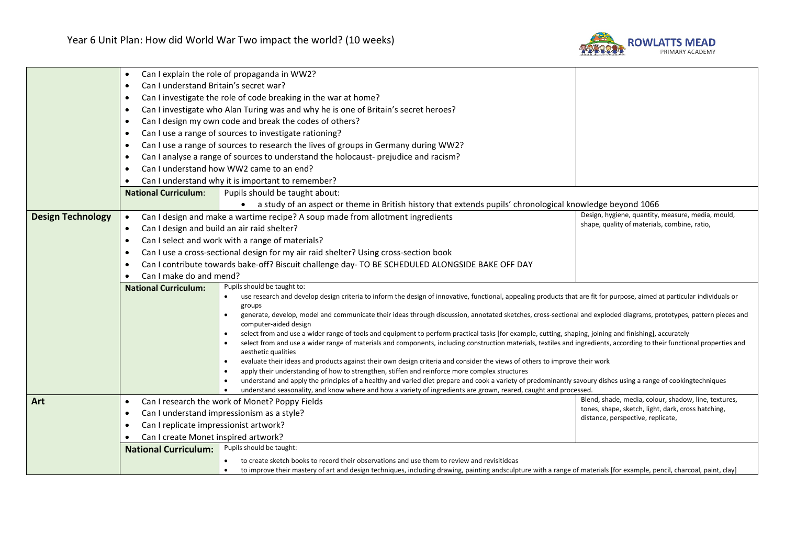

|                          | $\bullet$                                           | Can I explain the role of propaganda in WW2?                                                                                                                                                                                                                                                                                      |                                                      |  |  |
|--------------------------|-----------------------------------------------------|-----------------------------------------------------------------------------------------------------------------------------------------------------------------------------------------------------------------------------------------------------------------------------------------------------------------------------------|------------------------------------------------------|--|--|
|                          | Can I understand Britain's secret war?<br>$\bullet$ |                                                                                                                                                                                                                                                                                                                                   |                                                      |  |  |
|                          | $\bullet$                                           | Can I investigate the role of code breaking in the war at home?                                                                                                                                                                                                                                                                   |                                                      |  |  |
|                          | $\bullet$                                           | Can I investigate who Alan Turing was and why he is one of Britain's secret heroes?                                                                                                                                                                                                                                               |                                                      |  |  |
|                          | $\bullet$                                           | Can I design my own code and break the codes of others?                                                                                                                                                                                                                                                                           |                                                      |  |  |
|                          | $\bullet$                                           | Can I use a range of sources to investigate rationing?                                                                                                                                                                                                                                                                            |                                                      |  |  |
|                          | $\bullet$                                           | Can I use a range of sources to research the lives of groups in Germany during WW2?<br>Can I analyse a range of sources to understand the holocaust-prejudice and racism?<br>Can I understand how WW2 came to an end?<br>Can I understand why it is important to remember?<br>Pupils should be taught about:                      |                                                      |  |  |
|                          | $\bullet$                                           |                                                                                                                                                                                                                                                                                                                                   |                                                      |  |  |
|                          |                                                     |                                                                                                                                                                                                                                                                                                                                   |                                                      |  |  |
|                          |                                                     |                                                                                                                                                                                                                                                                                                                                   |                                                      |  |  |
|                          | <b>National Curriculum:</b>                         |                                                                                                                                                                                                                                                                                                                                   |                                                      |  |  |
|                          |                                                     | • a study of an aspect or theme in British history that extends pupils' chronological knowledge beyond 1066                                                                                                                                                                                                                       |                                                      |  |  |
| <b>Design Technology</b> | $\bullet$                                           | Can I design and make a wartime recipe? A soup made from allotment ingredients                                                                                                                                                                                                                                                    | Design, hygiene, quantity, measure, media, mould,    |  |  |
|                          | $\bullet$                                           | shape, quality of materials, combine, ratio,<br>Can I design and build an air raid shelter?                                                                                                                                                                                                                                       |                                                      |  |  |
|                          | $\bullet$                                           | Can I select and work with a range of materials?                                                                                                                                                                                                                                                                                  |                                                      |  |  |
|                          | $\bullet$                                           | Can I use a cross-sectional design for my air raid shelter? Using cross-section book                                                                                                                                                                                                                                              |                                                      |  |  |
|                          | $\bullet$                                           | Can I contribute towards bake-off? Biscuit challenge day- TO BE SCHEDULED ALONGSIDE BAKE OFF DAY                                                                                                                                                                                                                                  |                                                      |  |  |
|                          | Can I make do and mend?<br>$\bullet$                |                                                                                                                                                                                                                                                                                                                                   |                                                      |  |  |
|                          | <b>National Curriculum:</b>                         | Pupils should be taught to:                                                                                                                                                                                                                                                                                                       |                                                      |  |  |
|                          |                                                     | use research and develop design criteria to inform the design of innovative, functional, appealing products that are fit for purpose, aimed at particular individuals or<br>groups                                                                                                                                                |                                                      |  |  |
|                          |                                                     | generate, develop, model and communicate their ideas through discussion, annotated sketches, cross-sectional and exploded diagrams, prototypes, pattern pieces and<br>$\bullet$                                                                                                                                                   |                                                      |  |  |
|                          |                                                     | computer-aided design                                                                                                                                                                                                                                                                                                             |                                                      |  |  |
|                          |                                                     | select from and use a wider range of tools and equipment to perform practical tasks [for example, cutting, shaping, joining and finishing], accurately<br>select from and use a wider range of materials and components, including construction materials, textiles and ingredients, according to their functional properties and |                                                      |  |  |
|                          |                                                     | aesthetic qualities                                                                                                                                                                                                                                                                                                               |                                                      |  |  |
|                          |                                                     | evaluate their ideas and products against their own design criteria and consider the views of others to improve their work                                                                                                                                                                                                        |                                                      |  |  |
|                          |                                                     | apply their understanding of how to strengthen, stiffen and reinforce more complex structures                                                                                                                                                                                                                                     |                                                      |  |  |
|                          |                                                     | understand and apply the principles of a healthy and varied diet prepare and cook a variety of predominantly savoury dishes using a range of cookingtechniques<br>understand seasonality, and know where and how a variety of ingredients are grown, reared, caught and processed.                                                |                                                      |  |  |
| Art                      | $\bullet$                                           | Can I research the work of Monet? Poppy Fields                                                                                                                                                                                                                                                                                    | Blend, shade, media, colour, shadow, line, textures, |  |  |
|                          | $\bullet$                                           | Can I understand impressionism as a style?                                                                                                                                                                                                                                                                                        | tones, shape, sketch, light, dark, cross hatching,   |  |  |
|                          | Can I replicate impressionist artwork?              |                                                                                                                                                                                                                                                                                                                                   | distance, perspective, replicate,                    |  |  |
|                          | Can I create Monet inspired artwork?                |                                                                                                                                                                                                                                                                                                                                   |                                                      |  |  |
|                          | <b>National Curriculum:</b>                         | Pupils should be taught:                                                                                                                                                                                                                                                                                                          |                                                      |  |  |
|                          |                                                     | to create sketch books to record their observations and use them to review and revisitideas                                                                                                                                                                                                                                       |                                                      |  |  |
|                          |                                                     | to improve their mastery of art and design techniques, including drawing, painting andsculpture with a range of materials [for example, pencil, charcoal, paint, clay]                                                                                                                                                            |                                                      |  |  |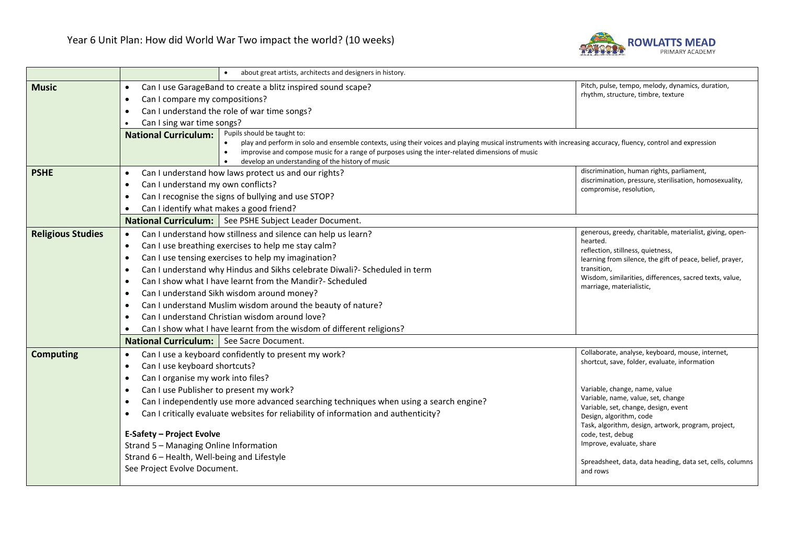

| about great artists, architects and designers in history.<br>$\bullet$                                                                                                                                                                                                                                                                                     |                                                                                                                                                                                                      |  |  |  |
|------------------------------------------------------------------------------------------------------------------------------------------------------------------------------------------------------------------------------------------------------------------------------------------------------------------------------------------------------------|------------------------------------------------------------------------------------------------------------------------------------------------------------------------------------------------------|--|--|--|
| Can I use GarageBand to create a blitz inspired sound scape?<br>$\bullet$                                                                                                                                                                                                                                                                                  | Pitch, pulse, tempo, melody, dynamics, duration,<br>rhythm, structure, timbre, texture                                                                                                               |  |  |  |
|                                                                                                                                                                                                                                                                                                                                                            |                                                                                                                                                                                                      |  |  |  |
|                                                                                                                                                                                                                                                                                                                                                            |                                                                                                                                                                                                      |  |  |  |
|                                                                                                                                                                                                                                                                                                                                                            |                                                                                                                                                                                                      |  |  |  |
| play and perform in solo and ensemble contexts, using their voices and playing musical instruments with increasing accuracy, fluency, control and expression<br>$\bullet$<br>improvise and compose music for a range of purposes using the inter-related dimensions of music<br>$\bullet$<br>develop an understanding of the history of music<br>$\bullet$ |                                                                                                                                                                                                      |  |  |  |
| Can I understand how laws protect us and our rights?<br>$\bullet$                                                                                                                                                                                                                                                                                          | discrimination, human rights, parliament,                                                                                                                                                            |  |  |  |
| Can I understand my own conflicts?<br>$\bullet$                                                                                                                                                                                                                                                                                                            | discrimination, pressure, sterilisation, homosexuality,<br>compromise, resolution,                                                                                                                   |  |  |  |
| Can I recognise the signs of bullying and use STOP?<br>$\bullet$                                                                                                                                                                                                                                                                                           |                                                                                                                                                                                                      |  |  |  |
| Can I identify what makes a good friend?<br>$\bullet$                                                                                                                                                                                                                                                                                                      |                                                                                                                                                                                                      |  |  |  |
| National Curriculum:   See PSHE Subject Leader Document.                                                                                                                                                                                                                                                                                                   |                                                                                                                                                                                                      |  |  |  |
| Can I understand how stillness and silence can help us learn?<br>$\bullet$                                                                                                                                                                                                                                                                                 | generous, greedy, charitable, materialist, giving, open-                                                                                                                                             |  |  |  |
| Can I use breathing exercises to help me stay calm?<br>$\bullet$                                                                                                                                                                                                                                                                                           | hearted.<br>reflection, stillness, quietness,                                                                                                                                                        |  |  |  |
| Can I use tensing exercises to help my imagination?<br>$\bullet$                                                                                                                                                                                                                                                                                           | learning from silence, the gift of peace, belief, prayer,                                                                                                                                            |  |  |  |
| Can I understand why Hindus and Sikhs celebrate Diwali?- Scheduled in term<br>$\bullet$                                                                                                                                                                                                                                                                    | transition,                                                                                                                                                                                          |  |  |  |
| Can I show what I have learnt from the Mandir?- Scheduled<br>$\bullet$                                                                                                                                                                                                                                                                                     | Wisdom, similarities, differences, sacred texts, value,<br>marriage, materialistic,                                                                                                                  |  |  |  |
| Can I understand Sikh wisdom around money?<br>$\bullet$                                                                                                                                                                                                                                                                                                    |                                                                                                                                                                                                      |  |  |  |
| Can I understand Muslim wisdom around the beauty of nature?<br>$\bullet$                                                                                                                                                                                                                                                                                   |                                                                                                                                                                                                      |  |  |  |
| Can I understand Christian wisdom around love?<br>$\bullet$                                                                                                                                                                                                                                                                                                |                                                                                                                                                                                                      |  |  |  |
| Can I show what I have learnt from the wisdom of different religions?<br>$\bullet$                                                                                                                                                                                                                                                                         |                                                                                                                                                                                                      |  |  |  |
| National Curriculum:   See Sacre Document.                                                                                                                                                                                                                                                                                                                 |                                                                                                                                                                                                      |  |  |  |
| Can I use a keyboard confidently to present my work?<br>$\bullet$                                                                                                                                                                                                                                                                                          | Collaborate, analyse, keyboard, mouse, internet,                                                                                                                                                     |  |  |  |
| Can I use keyboard shortcuts?<br>$\bullet$                                                                                                                                                                                                                                                                                                                 | shortcut, save, folder, evaluate, information                                                                                                                                                        |  |  |  |
| Can I organise my work into files?<br>$\bullet$                                                                                                                                                                                                                                                                                                            |                                                                                                                                                                                                      |  |  |  |
| Can I use Publisher to present my work?<br>$\bullet$                                                                                                                                                                                                                                                                                                       | Variable, change, name, value                                                                                                                                                                        |  |  |  |
| Can I independently use more advanced searching techniques when using a search engine?<br>$\bullet$                                                                                                                                                                                                                                                        | Variable, name, value, set, change<br>Variable, set, change, design, event                                                                                                                           |  |  |  |
| Can I critically evaluate websites for reliability of information and authenticity?<br>$\bullet$                                                                                                                                                                                                                                                           | Design, algorithm, code                                                                                                                                                                              |  |  |  |
|                                                                                                                                                                                                                                                                                                                                                            | Task, algorithm, design, artwork, program, project,                                                                                                                                                  |  |  |  |
|                                                                                                                                                                                                                                                                                                                                                            |                                                                                                                                                                                                      |  |  |  |
| <b>E-Safety - Project Evolve</b>                                                                                                                                                                                                                                                                                                                           | code, test, debug                                                                                                                                                                                    |  |  |  |
| Strand 5 - Managing Online Information                                                                                                                                                                                                                                                                                                                     | Improve, evaluate, share                                                                                                                                                                             |  |  |  |
| Strand 6 - Health, Well-being and Lifestyle<br>See Project Evolve Document.                                                                                                                                                                                                                                                                                | Spreadsheet, data, data heading, data set, cells, columns                                                                                                                                            |  |  |  |
|                                                                                                                                                                                                                                                                                                                                                            | Can I compare my compositions?<br>$\bullet$<br>Can I understand the role of war time songs?<br>$\bullet$<br>Can I sing war time songs?<br>Pupils should be taught to:<br><b>National Curriculum:</b> |  |  |  |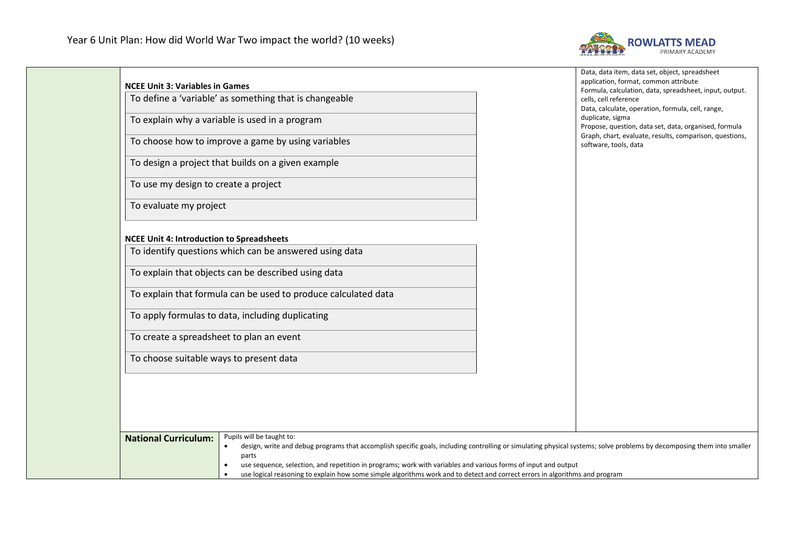

| To define a 'variable' as something that is changeable<br>cells, cell reference<br>Data, calculate, operation, formula, cell, range,<br>duplicate, sigma<br>To explain why a variable is used in a program<br>To choose how to improve a game by using variables<br>software, tools, data<br>To design a project that builds on a given example<br>To use my design to create a project<br>To evaluate my project<br><b>NCEE Unit 4: Introduction to Spreadsheets</b><br>To identify questions which can be answered using data<br>To explain that objects can be described using data<br>To explain that formula can be used to produce calculated data<br>To apply formulas to data, including duplicating<br>To create a spreadsheet to plan an event<br>To choose suitable ways to present data | <b>NCEE Unit 3: Variables in Games</b>                                                                                                                                                           | Data, data item, data set, object, spreadsheet<br>application, format, common attribute |
|-----------------------------------------------------------------------------------------------------------------------------------------------------------------------------------------------------------------------------------------------------------------------------------------------------------------------------------------------------------------------------------------------------------------------------------------------------------------------------------------------------------------------------------------------------------------------------------------------------------------------------------------------------------------------------------------------------------------------------------------------------------------------------------------------------|--------------------------------------------------------------------------------------------------------------------------------------------------------------------------------------------------|-----------------------------------------------------------------------------------------|
|                                                                                                                                                                                                                                                                                                                                                                                                                                                                                                                                                                                                                                                                                                                                                                                                     |                                                                                                                                                                                                  | Formula, calculation, data, spreadsheet, input, output.                                 |
|                                                                                                                                                                                                                                                                                                                                                                                                                                                                                                                                                                                                                                                                                                                                                                                                     |                                                                                                                                                                                                  | Propose, question, data set, data, organised, formula                                   |
|                                                                                                                                                                                                                                                                                                                                                                                                                                                                                                                                                                                                                                                                                                                                                                                                     |                                                                                                                                                                                                  | Graph, chart, evaluate, results, comparison, questions,                                 |
|                                                                                                                                                                                                                                                                                                                                                                                                                                                                                                                                                                                                                                                                                                                                                                                                     |                                                                                                                                                                                                  |                                                                                         |
|                                                                                                                                                                                                                                                                                                                                                                                                                                                                                                                                                                                                                                                                                                                                                                                                     |                                                                                                                                                                                                  |                                                                                         |
|                                                                                                                                                                                                                                                                                                                                                                                                                                                                                                                                                                                                                                                                                                                                                                                                     |                                                                                                                                                                                                  |                                                                                         |
|                                                                                                                                                                                                                                                                                                                                                                                                                                                                                                                                                                                                                                                                                                                                                                                                     |                                                                                                                                                                                                  |                                                                                         |
|                                                                                                                                                                                                                                                                                                                                                                                                                                                                                                                                                                                                                                                                                                                                                                                                     |                                                                                                                                                                                                  |                                                                                         |
|                                                                                                                                                                                                                                                                                                                                                                                                                                                                                                                                                                                                                                                                                                                                                                                                     |                                                                                                                                                                                                  |                                                                                         |
|                                                                                                                                                                                                                                                                                                                                                                                                                                                                                                                                                                                                                                                                                                                                                                                                     |                                                                                                                                                                                                  |                                                                                         |
|                                                                                                                                                                                                                                                                                                                                                                                                                                                                                                                                                                                                                                                                                                                                                                                                     |                                                                                                                                                                                                  |                                                                                         |
|                                                                                                                                                                                                                                                                                                                                                                                                                                                                                                                                                                                                                                                                                                                                                                                                     |                                                                                                                                                                                                  |                                                                                         |
|                                                                                                                                                                                                                                                                                                                                                                                                                                                                                                                                                                                                                                                                                                                                                                                                     |                                                                                                                                                                                                  |                                                                                         |
|                                                                                                                                                                                                                                                                                                                                                                                                                                                                                                                                                                                                                                                                                                                                                                                                     |                                                                                                                                                                                                  |                                                                                         |
|                                                                                                                                                                                                                                                                                                                                                                                                                                                                                                                                                                                                                                                                                                                                                                                                     |                                                                                                                                                                                                  |                                                                                         |
|                                                                                                                                                                                                                                                                                                                                                                                                                                                                                                                                                                                                                                                                                                                                                                                                     | Pupils will be taught to:<br><b>National Curriculum:</b><br>$\bullet$<br>parts<br>use sequence, selection, and repetition in programs; work with variables and various forms of input and output |                                                                                         |
| design, write and debug programs that accomplish specific goals, including controlling or simulating physical systems; solve problems by decomposing them into smaller                                                                                                                                                                                                                                                                                                                                                                                                                                                                                                                                                                                                                              | use logical reasoning to explain how some simple algorithms work and to detect and correct errors in algorithms and program                                                                      |                                                                                         |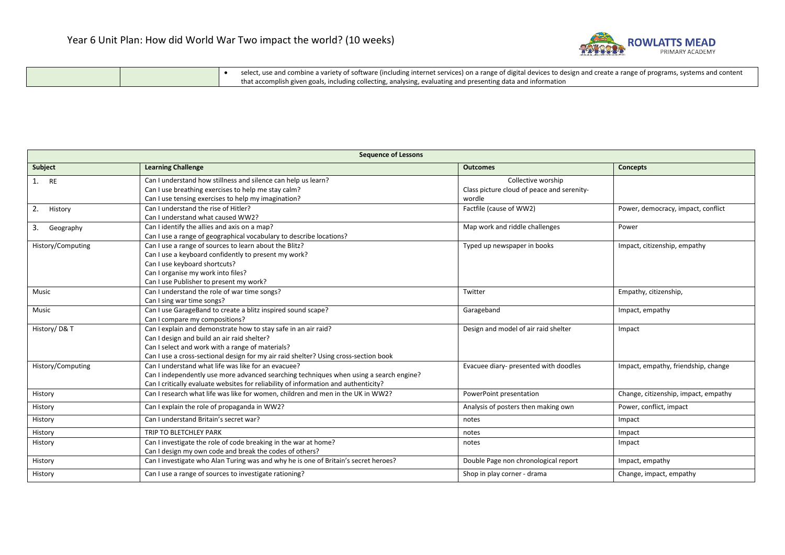

|  | select, use and combine a variety of software (including internet services) on a range of digital devices to design and create a range of programs, systems and content |
|--|-------------------------------------------------------------------------------------------------------------------------------------------------------------------------|
|  | that accomplish given goals, including collecting, analysing, evaluating and presenting data and information                                                            |

| <b>Sequence of Lessons</b> |                                                                                        |                                            |                                      |
|----------------------------|----------------------------------------------------------------------------------------|--------------------------------------------|--------------------------------------|
| Subject                    | <b>Learning Challenge</b>                                                              | <b>Outcomes</b>                            | <b>Concepts</b>                      |
| 1. RE                      | Can I understand how stillness and silence can help us learn?                          | Collective worship                         |                                      |
|                            | Can I use breathing exercises to help me stay calm?                                    | Class picture cloud of peace and serenity- |                                      |
|                            | Can I use tensing exercises to help my imagination?                                    | wordle                                     |                                      |
| 2.<br>History              | Can I understand the rise of Hitler?                                                   | Factfile (cause of WW2)                    | Power, democracy, impact, conflict   |
|                            | Can I understand what caused WW2?                                                      |                                            |                                      |
| 3.<br>Geography            | Can I identify the allies and axis on a map?                                           | Map work and riddle challenges             | Power                                |
|                            | Can I use a range of geographical vocabulary to describe locations?                    |                                            |                                      |
| History/Computing          | Can I use a range of sources to learn about the Blitz?                                 | Typed up newspaper in books                | Impact, citizenship, empathy         |
|                            | Can I use a keyboard confidently to present my work?                                   |                                            |                                      |
|                            | Can I use keyboard shortcuts?                                                          |                                            |                                      |
|                            | Can I organise my work into files?                                                     |                                            |                                      |
|                            | Can I use Publisher to present my work?                                                |                                            |                                      |
| Music                      | Can I understand the role of war time songs?                                           | Twitter                                    | Empathy, citizenship,                |
|                            | Can I sing war time songs?                                                             |                                            |                                      |
| Music                      | Can I use GarageBand to create a blitz inspired sound scape?                           | Garageband                                 | Impact, empathy                      |
|                            | Can I compare my compositions?                                                         |                                            |                                      |
| History/D&T                | Can I explain and demonstrate how to stay safe in an air raid?                         | Design and model of air raid shelter       | Impact                               |
|                            | Can I design and build an air raid shelter?                                            |                                            |                                      |
|                            | Can I select and work with a range of materials?                                       |                                            |                                      |
|                            | Can I use a cross-sectional design for my air raid shelter? Using cross-section book   |                                            |                                      |
| History/Computing          | Can I understand what life was like for an evacuee?                                    | Evacuee diary- presented with doodles      | Impact, empathy, friendship, change  |
|                            | Can I independently use more advanced searching techniques when using a search engine? |                                            |                                      |
|                            | Can I critically evaluate websites for reliability of information and authenticity?    |                                            |                                      |
| History                    | Can I research what life was like for women, children and men in the UK in WW2?        | PowerPoint presentation                    | Change, citizenship, impact, empathy |
| History                    | Can I explain the role of propaganda in WW2?                                           | Analysis of posters then making own        | Power, conflict, impact              |
| History                    | Can I understand Britain's secret war?                                                 | notes                                      | Impact                               |
| History                    | TRIP TO BLETCHLEY PARK                                                                 | notes                                      | Impact                               |
| History                    | Can I investigate the role of code breaking in the war at home?                        | notes                                      | Impact                               |
|                            | Can I design my own code and break the codes of others?                                |                                            |                                      |
| History                    | Can I investigate who Alan Turing was and why he is one of Britain's secret heroes?    | Double Page non chronological report       | Impact, empathy                      |
| History                    | Can I use a range of sources to investigate rationing?                                 | Shop in play corner - drama                | Change, impact, empathy              |